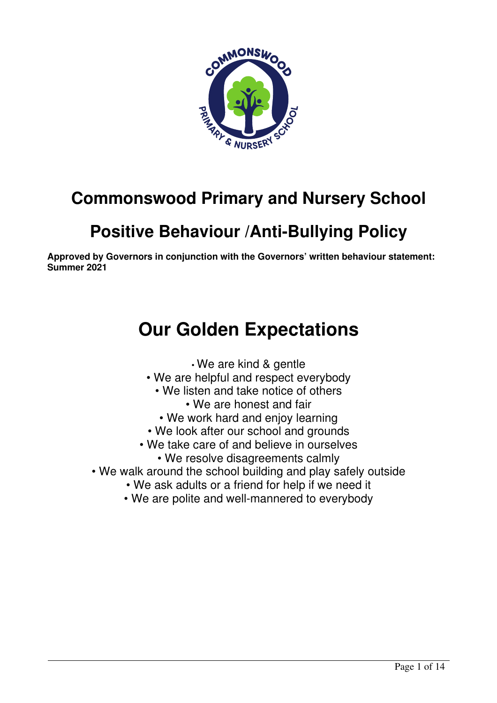

# **Commonswood Primary and Nursery School**

# **Positive Behaviour /Anti-Bullying Policy**

**Approved by Governors in conjunction with the Governors' written behaviour statement: Summer 2021** 

# **Our Golden Expectations**

• We are kind & gentle

- We are helpful and respect everybody
	- We listen and take notice of others
		- We are honest and fair
		- We work hard and enjoy learning
- We look after our school and grounds
- We take care of and believe in ourselves
	- We resolve disagreements calmly
- We walk around the school building and play safely outside
	- We ask adults or a friend for help if we need it
	- We are polite and well-mannered to everybody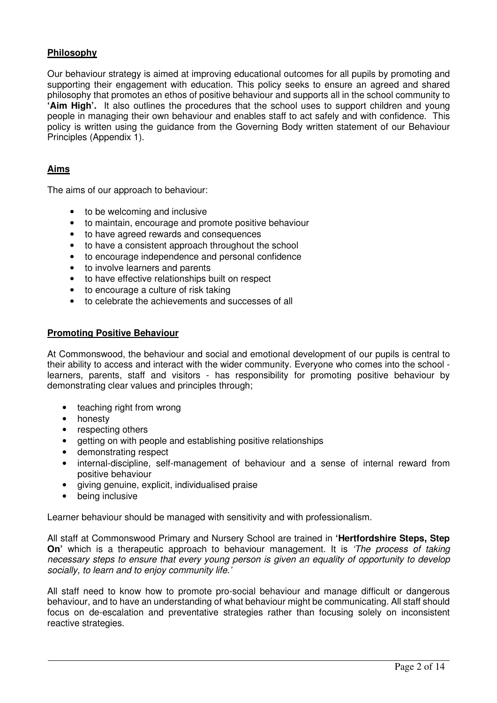# **Philosophy**

Our behaviour strategy is aimed at improving educational outcomes for all pupils by promoting and supporting their engagement with education. This policy seeks to ensure an agreed and shared philosophy that promotes an ethos of positive behaviour and supports all in the school community to **'Aim High'.** It also outlines the procedures that the school uses to support children and young people in managing their own behaviour and enables staff to act safely and with confidence. This policy is written using the guidance from the Governing Body written statement of our Behaviour Principles (Appendix 1).

# **Aims**

The aims of our approach to behaviour:

- to be welcoming and inclusive
- to maintain, encourage and promote positive behaviour
- to have agreed rewards and consequences
- to have a consistent approach throughout the school
- to encourage independence and personal confidence
- to involve learners and parents
- to have effective relationships built on respect
- to encourage a culture of risk taking
- to celebrate the achievements and successes of all

#### **Promoting Positive Behaviour**

At Commonswood, the behaviour and social and emotional development of our pupils is central to their ability to access and interact with the wider community. Everyone who comes into the school learners, parents, staff and visitors - has responsibility for promoting positive behaviour by demonstrating clear values and principles through;

- teaching right from wrong
- honesty
- respecting others
- getting on with people and establishing positive relationships
- demonstrating respect
- internal-discipline, self-management of behaviour and a sense of internal reward from positive behaviour
- giving genuine, explicit, individualised praise
- being inclusive

Learner behaviour should be managed with sensitivity and with professionalism.

All staff at Commonswood Primary and Nursery School are trained in **'Hertfordshire Steps, Step On'** which is a therapeutic approach to behaviour management. It is 'The process of taking necessary steps to ensure that every young person is given an equality of opportunity to develop socially, to learn and to enjoy community life.'

All staff need to know how to promote pro-social behaviour and manage difficult or dangerous behaviour, and to have an understanding of what behaviour might be communicating. All staff should focus on de-escalation and preventative strategies rather than focusing solely on inconsistent reactive strategies.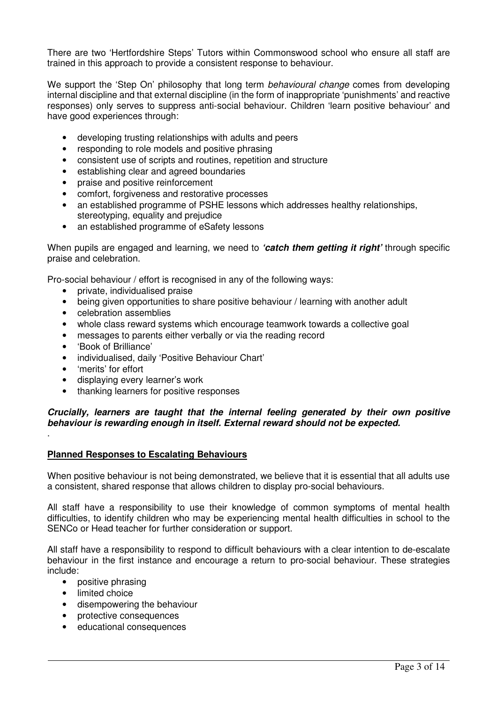There are two 'Hertfordshire Steps' Tutors within Commonswood school who ensure all staff are trained in this approach to provide a consistent response to behaviour.

We support the 'Step On' philosophy that long term *behavioural change* comes from developing internal discipline and that external discipline (in the form of inappropriate 'punishments' and reactive responses) only serves to suppress anti-social behaviour. Children 'learn positive behaviour' and have good experiences through:

- developing trusting relationships with adults and peers
- responding to role models and positive phrasing
- consistent use of scripts and routines, repetition and structure
- establishing clear and agreed boundaries
- praise and positive reinforcement
- comfort, forgiveness and restorative processes
- an established programme of PSHE lessons which addresses healthy relationships, stereotyping, equality and prejudice
- an established programme of eSafety lessons

When pupils are engaged and learning, we need to **'catch them getting it right'** through specific praise and celebration.

Pro-social behaviour / effort is recognised in any of the following ways:

- private, individualised praise
- being given opportunities to share positive behaviour / learning with another adult
- celebration assemblies
- whole class reward systems which encourage teamwork towards a collective goal
- messages to parents either verbally or via the reading record
- 'Book of Brilliance'
- individualised, daily 'Positive Behaviour Chart'
- 'merits' for effort

.

- displaying every learner's work
- thanking learners for positive responses

# **Crucially, learners are taught that the internal feeling generated by their own positive behaviour is rewarding enough in itself. External reward should not be expected.**

# **Planned Responses to Escalating Behaviours**

When positive behaviour is not being demonstrated, we believe that it is essential that all adults use a consistent, shared response that allows children to display pro-social behaviours.

All staff have a responsibility to use their knowledge of common symptoms of mental health difficulties, to identify children who may be experiencing mental health difficulties in school to the SENCo or Head teacher for further consideration or support.

All staff have a responsibility to respond to difficult behaviours with a clear intention to de-escalate behaviour in the first instance and encourage a return to pro-social behaviour. These strategies include:

- positive phrasing
- limited choice
- disempowering the behaviour
- protective consequences
- educational consequences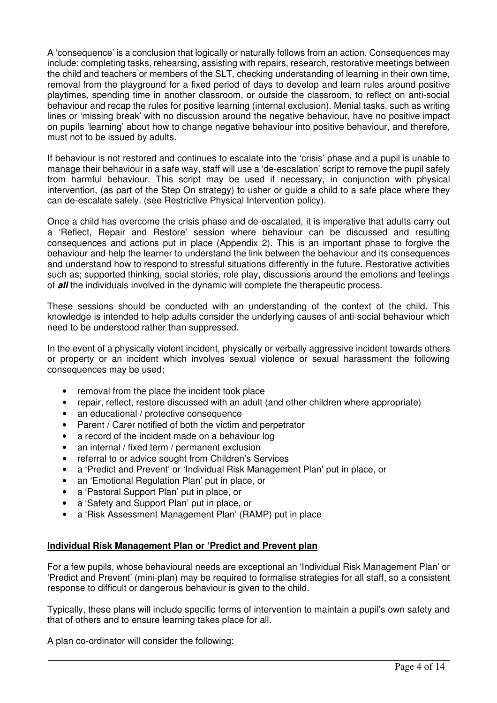A 'consequence' is a conclusion that logically or naturally follows from an action. Consequences may include: completing tasks, rehearsing, assisting with repairs, research, restorative meetings between the child and teachers or members of the SLT, checking understanding of learning in their own time, removal from the playground for a fixed period of days to develop and learn rules around positive playtimes, spending time in another classroom, or outside the classroom, to reflect on anti-social behaviour and recap the rules for positive learning (internal exclusion). Menial tasks, such as writing lines or 'missing break' with no discussion around the negative behaviour, have no positive impact on pupils 'learning' about how to change negative behaviour into positive behaviour, and therefore, must not to be issued by adults.

If behaviour is not restored and continues to escalate into the 'crisis' phase and a pupil is unable to manage their behaviour in a safe way, staff will use a 'de-escalation' script to remove the pupil safely from harmful behaviour. This script may be used if necessary, in conjunction with physical intervention, (as part of the Step On strategy) to usher or guide a child to a safe place where they can de-escalate safely. (see Restrictive Physical Intervention policy).

Once a child has overcome the crisis phase and de-escalated, it is imperative that adults carry out a 'Reflect, Repair and Restore' session where behaviour can be discussed and resulting consequences and actions put in place (Appendix 2). This is an important phase to forgive the behaviour and help the learner to understand the link between the behaviour and its consequences and understand how to respond to stressful situations differently in the future. Restorative activities such as; supported thinking, social stories, role play, discussions around the emotions and feelings of **all** the individuals involved in the dynamic will complete the therapeutic process.

These sessions should be conducted with an understanding of the context of the child. This knowledge is intended to help adults consider the underlying causes of anti-social behaviour which need to be understood rather than suppressed.

In the event of a physically violent incident, physically or verbally aggressive incident towards others or property or an incident which involves sexual violence or sexual harassment the following consequences may be used;

- removal from the place the incident took place
- repair, reflect, restore discussed with an adult (and other children where appropriate)
- an educational / protective consequence
- Parent / Carer notified of both the victim and perpetrator
- a record of the incident made on a behaviour log
- an internal / fixed term / permanent exclusion
- referral to or advice sought from Children's Services
- a 'Predict and Prevent' or 'Individual Risk Management Plan' put in place, or
- an 'Emotional Regulation Plan' put in place, or
- a 'Pastoral Support Plan' put in place, or
- a 'Safety and Support Plan' put in place, or
- a 'Risk Assessment Management Plan' (RAMP) put in place

# **Individual Risk Management Plan or 'Predict and Prevent plan**

For a few pupils, whose behavioural needs are exceptional an 'Individual Risk Management Plan' or 'Predict and Prevent' (mini-plan) may be required to formalise strategies for all staff, so a consistent response to difficult or dangerous behaviour is given to the child.

Typically, these plans will include specific forms of intervention to maintain a pupil's own safety and that of others and to ensure learning takes place for all.

A plan co-ordinator will consider the following: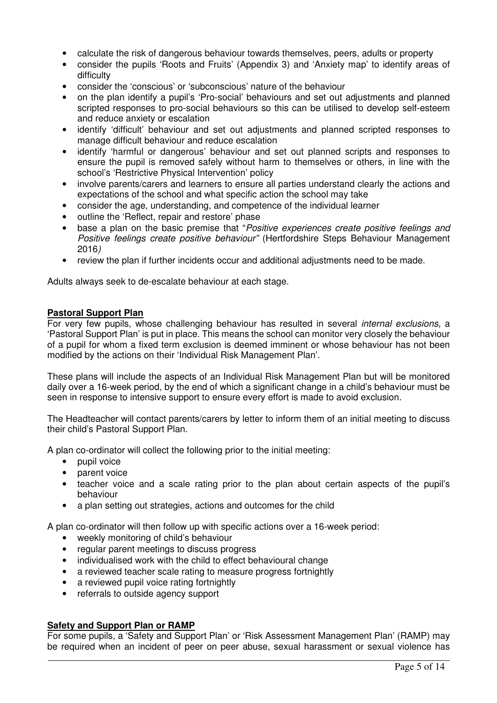- calculate the risk of dangerous behaviour towards themselves, peers, adults or property
- consider the pupils 'Roots and Fruits' (Appendix 3) and 'Anxiety map' to identify areas of difficulty
- consider the 'conscious' or 'subconscious' nature of the behaviour
- on the plan identify a pupil's 'Pro-social' behaviours and set out adjustments and planned scripted responses to pro-social behaviours so this can be utilised to develop self-esteem and reduce anxiety or escalation
- identify 'difficult' behaviour and set out adjustments and planned scripted responses to manage difficult behaviour and reduce escalation
- identify 'harmful or dangerous' behaviour and set out planned scripts and responses to ensure the pupil is removed safely without harm to themselves or others, in line with the school's 'Restrictive Physical Intervention' policy
- involve parents/carers and learners to ensure all parties understand clearly the actions and expectations of the school and what specific action the school may take
- consider the age, understanding, and competence of the individual learner
- outline the 'Reflect, repair and restore' phase
- base a plan on the basic premise that "Positive experiences create positive feelings and Positive feelings create positive behaviour" (Hertfordshire Steps Behaviour Management 2016)
- review the plan if further incidents occur and additional adjustments need to be made.

Adults always seek to de-escalate behaviour at each stage.

#### **Pastoral Support Plan**

For very few pupils, whose challenging behaviour has resulted in several *internal exclusions*, a 'Pastoral Support Plan' is put in place. This means the school can monitor very closely the behaviour of a pupil for whom a fixed term exclusion is deemed imminent or whose behaviour has not been modified by the actions on their 'Individual Risk Management Plan'.

These plans will include the aspects of an Individual Risk Management Plan but will be monitored daily over a 16-week period, by the end of which a significant change in a child's behaviour must be seen in response to intensive support to ensure every effort is made to avoid exclusion.

The Headteacher will contact parents/carers by letter to inform them of an initial meeting to discuss their child's Pastoral Support Plan.

A plan co-ordinator will collect the following prior to the initial meeting:

- pupil voice
- parent voice
- teacher voice and a scale rating prior to the plan about certain aspects of the pupil's behaviour
- a plan setting out strategies, actions and outcomes for the child

A plan co-ordinator will then follow up with specific actions over a 16-week period:

- weekly monitoring of child's behaviour
- regular parent meetings to discuss progress
- individualised work with the child to effect behavioural change
- a reviewed teacher scale rating to measure progress fortnightly
- a reviewed pupil voice rating fortnightly
- referrals to outside agency support

# **Safety and Support Plan or RAMP**

For some pupils, a 'Safety and Support Plan' or 'Risk Assessment Management Plan' (RAMP) may be required when an incident of peer on peer abuse, sexual harassment or sexual violence has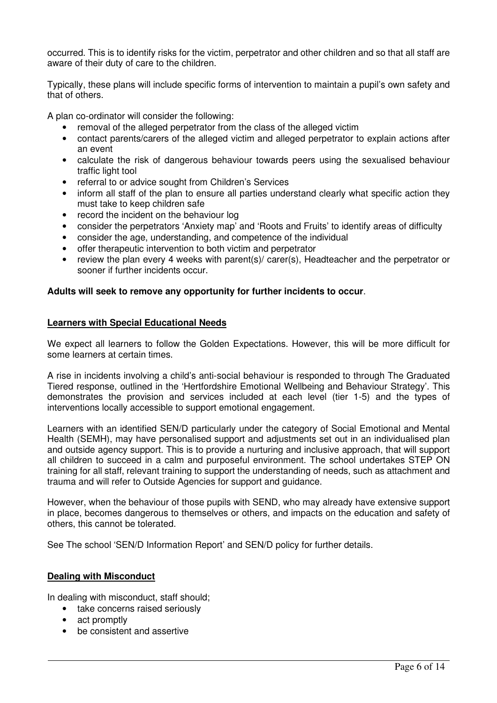occurred. This is to identify risks for the victim, perpetrator and other children and so that all staff are aware of their duty of care to the children.

Typically, these plans will include specific forms of intervention to maintain a pupil's own safety and that of others.

A plan co-ordinator will consider the following:

- removal of the alleged perpetrator from the class of the alleged victim
- contact parents/carers of the alleged victim and alleged perpetrator to explain actions after an event
- calculate the risk of dangerous behaviour towards peers using the sexualised behaviour traffic light tool
- referral to or advice sought from Children's Services
- inform all staff of the plan to ensure all parties understand clearly what specific action they must take to keep children safe
- record the incident on the behaviour log
- consider the perpetrators 'Anxiety map' and 'Roots and Fruits' to identify areas of difficulty
- consider the age, understanding, and competence of the individual
- offer therapeutic intervention to both victim and perpetrator
- review the plan every 4 weeks with parent(s)/ carer(s), Headteacher and the perpetrator or sooner if further incidents occur.

# **Adults will seek to remove any opportunity for further incidents to occur**.

#### **Learners with Special Educational Needs**

We expect all learners to follow the Golden Expectations. However, this will be more difficult for some learners at certain times.

A rise in incidents involving a child's anti-social behaviour is responded to through The Graduated Tiered response, outlined in the 'Hertfordshire Emotional Wellbeing and Behaviour Strategy'. This demonstrates the provision and services included at each level (tier 1-5) and the types of interventions locally accessible to support emotional engagement.

Learners with an identified SEN/D particularly under the category of Social Emotional and Mental Health (SEMH), may have personalised support and adjustments set out in an individualised plan and outside agency support. This is to provide a nurturing and inclusive approach, that will support all children to succeed in a calm and purposeful environment. The school undertakes STEP ON training for all staff, relevant training to support the understanding of needs, such as attachment and trauma and will refer to Outside Agencies for support and guidance.

However, when the behaviour of those pupils with SEND, who may already have extensive support in place, becomes dangerous to themselves or others, and impacts on the education and safety of others, this cannot be tolerated.

See The school 'SEN/D Information Report' and SEN/D policy for further details.

# **Dealing with Misconduct**

In dealing with misconduct, staff should;

- take concerns raised seriously
- act promptly
- be consistent and assertive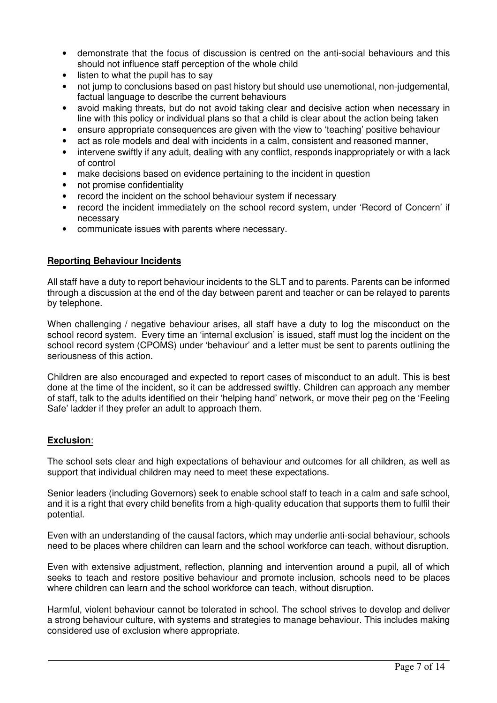- demonstrate that the focus of discussion is centred on the anti-social behaviours and this should not influence staff perception of the whole child
- listen to what the pupil has to say
- not jump to conclusions based on past history but should use unemotional, non-judgemental, factual language to describe the current behaviours
- avoid making threats, but do not avoid taking clear and decisive action when necessary in line with this policy or individual plans so that a child is clear about the action being taken
- ensure appropriate consequences are given with the view to 'teaching' positive behaviour
- act as role models and deal with incidents in a calm, consistent and reasoned manner,
- intervene swiftly if any adult, dealing with any conflict, responds inappropriately or with a lack of control
- make decisions based on evidence pertaining to the incident in question
- not promise confidentiality
- record the incident on the school behaviour system if necessary
- record the incident immediately on the school record system, under 'Record of Concern' if necessary
- communicate issues with parents where necessary.

# **Reporting Behaviour Incidents**

All staff have a duty to report behaviour incidents to the SLT and to parents. Parents can be informed through a discussion at the end of the day between parent and teacher or can be relayed to parents by telephone.

When challenging / negative behaviour arises, all staff have a duty to log the misconduct on the school record system. Every time an 'internal exclusion' is issued, staff must log the incident on the school record system (CPOMS) under 'behaviour' and a letter must be sent to parents outlining the seriousness of this action.

Children are also encouraged and expected to report cases of misconduct to an adult. This is best done at the time of the incident, so it can be addressed swiftly. Children can approach any member of staff, talk to the adults identified on their 'helping hand' network, or move their peg on the 'Feeling Safe' ladder if they prefer an adult to approach them.

# **Exclusion**:

The school sets clear and high expectations of behaviour and outcomes for all children, as well as support that individual children may need to meet these expectations.

Senior leaders (including Governors) seek to enable school staff to teach in a calm and safe school, and it is a right that every child benefits from a high-quality education that supports them to fulfil their potential.

Even with an understanding of the causal factors, which may underlie anti-social behaviour, schools need to be places where children can learn and the school workforce can teach, without disruption.

Even with extensive adjustment, reflection, planning and intervention around a pupil, all of which seeks to teach and restore positive behaviour and promote inclusion, schools need to be places where children can learn and the school workforce can teach, without disruption.

Harmful, violent behaviour cannot be tolerated in school. The school strives to develop and deliver a strong behaviour culture, with systems and strategies to manage behaviour. This includes making considered use of exclusion where appropriate.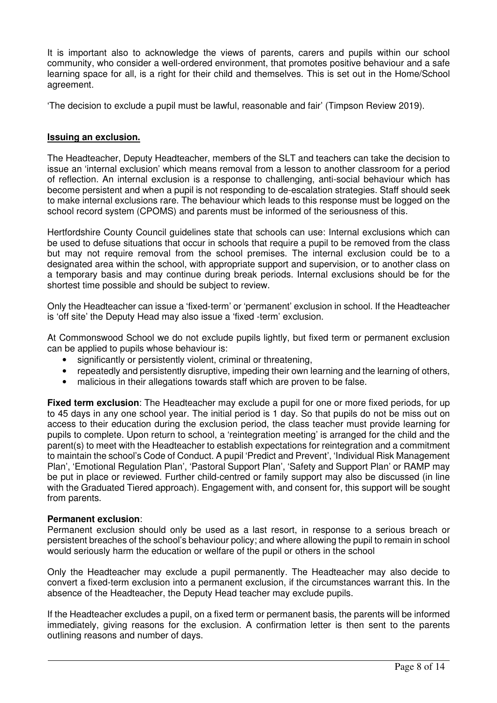It is important also to acknowledge the views of parents, carers and pupils within our school community, who consider a well-ordered environment, that promotes positive behaviour and a safe learning space for all, is a right for their child and themselves. This is set out in the Home/School agreement.

'The decision to exclude a pupil must be lawful, reasonable and fair' (Timpson Review 2019).

# **Issuing an exclusion.**

The Headteacher, Deputy Headteacher, members of the SLT and teachers can take the decision to issue an 'internal exclusion' which means removal from a lesson to another classroom for a period of reflection. An internal exclusion is a response to challenging, anti-social behaviour which has become persistent and when a pupil is not responding to de-escalation strategies. Staff should seek to make internal exclusions rare. The behaviour which leads to this response must be logged on the school record system (CPOMS) and parents must be informed of the seriousness of this.

Hertfordshire County Council guidelines state that schools can use: Internal exclusions which can be used to defuse situations that occur in schools that require a pupil to be removed from the class but may not require removal from the school premises. The internal exclusion could be to a designated area within the school, with appropriate support and supervision, or to another class on a temporary basis and may continue during break periods. Internal exclusions should be for the shortest time possible and should be subject to review.

Only the Headteacher can issue a 'fixed-term' or 'permanent' exclusion in school. If the Headteacher is 'off site' the Deputy Head may also issue a 'fixed -term' exclusion.

At Commonswood School we do not exclude pupils lightly, but fixed term or permanent exclusion can be applied to pupils whose behaviour is:

- significantly or persistently violent, criminal or threatening,
- repeatedly and persistently disruptive, impeding their own learning and the learning of others,
- malicious in their allegations towards staff which are proven to be false.

**Fixed term exclusion**: The Headteacher may exclude a pupil for one or more fixed periods, for up to 45 days in any one school year. The initial period is 1 day. So that pupils do not be miss out on access to their education during the exclusion period, the class teacher must provide learning for pupils to complete. Upon return to school, a 'reintegration meeting' is arranged for the child and the parent(s) to meet with the Headteacher to establish expectations for reintegration and a commitment to maintain the school's Code of Conduct. A pupil 'Predict and Prevent', 'Individual Risk Management Plan', 'Emotional Regulation Plan', 'Pastoral Support Plan', 'Safety and Support Plan' or RAMP may be put in place or reviewed. Further child-centred or family support may also be discussed (in line with the Graduated Tiered approach). Engagement with, and consent for, this support will be sought from parents.

# **Permanent exclusion**:

Permanent exclusion should only be used as a last resort, in response to a serious breach or persistent breaches of the school's behaviour policy; and where allowing the pupil to remain in school would seriously harm the education or welfare of the pupil or others in the school

Only the Headteacher may exclude a pupil permanently. The Headteacher may also decide to convert a fixed-term exclusion into a permanent exclusion, if the circumstances warrant this. In the absence of the Headteacher, the Deputy Head teacher may exclude pupils.

If the Headteacher excludes a pupil, on a fixed term or permanent basis, the parents will be informed immediately, giving reasons for the exclusion. A confirmation letter is then sent to the parents outlining reasons and number of days.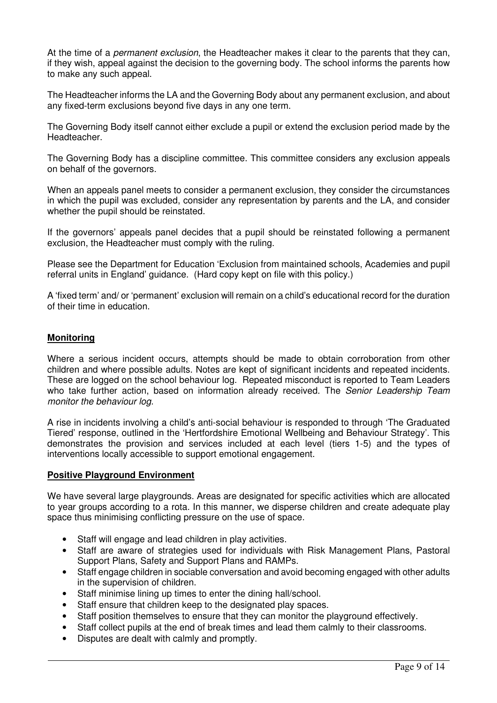At the time of a *permanent exclusion*, the Headteacher makes it clear to the parents that they can, if they wish, appeal against the decision to the governing body. The school informs the parents how to make any such appeal.

The Headteacher informs the LA and the Governing Body about any permanent exclusion, and about any fixed-term exclusions beyond five days in any one term.

The Governing Body itself cannot either exclude a pupil or extend the exclusion period made by the **Headteacher** 

The Governing Body has a discipline committee. This committee considers any exclusion appeals on behalf of the governors.

When an appeals panel meets to consider a permanent exclusion, they consider the circumstances in which the pupil was excluded, consider any representation by parents and the LA, and consider whether the pupil should be reinstated.

If the governors' appeals panel decides that a pupil should be reinstated following a permanent exclusion, the Headteacher must comply with the ruling.

Please see the Department for Education 'Exclusion from maintained schools, Academies and pupil referral units in England' guidance. (Hard copy kept on file with this policy.)

A 'fixed term' and/ or 'permanent' exclusion will remain on a child's educational record for the duration of their time in education.

# **Monitoring**

Where a serious incident occurs, attempts should be made to obtain corroboration from other children and where possible adults. Notes are kept of significant incidents and repeated incidents. These are logged on the school behaviour log. Repeated misconduct is reported to Team Leaders who take further action, based on information already received. The Senior Leadership Team monitor the behaviour log.

A rise in incidents involving a child's anti-social behaviour is responded to through 'The Graduated Tiered' response, outlined in the 'Hertfordshire Emotional Wellbeing and Behaviour Strategy'. This demonstrates the provision and services included at each level (tiers 1-5) and the types of interventions locally accessible to support emotional engagement.

#### **Positive Playground Environment**

We have several large playgrounds. Areas are designated for specific activities which are allocated to year groups according to a rota. In this manner, we disperse children and create adequate play space thus minimising conflicting pressure on the use of space.

- Staff will engage and lead children in play activities.
- Staff are aware of strategies used for individuals with Risk Management Plans, Pastoral Support Plans, Safety and Support Plans and RAMPs.
- Staff engage children in sociable conversation and avoid becoming engaged with other adults in the supervision of children.
- Staff minimise lining up times to enter the dining hall/school.
- Staff ensure that children keep to the designated play spaces.
- Staff position themselves to ensure that they can monitor the playground effectively.
- Staff collect pupils at the end of break times and lead them calmly to their classrooms.
- Disputes are dealt with calmly and promptly.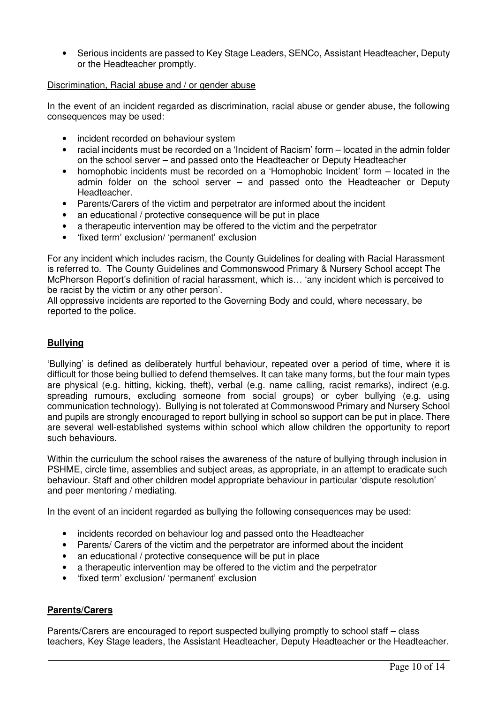• Serious incidents are passed to Key Stage Leaders, SENCo, Assistant Headteacher, Deputy or the Headteacher promptly.

# Discrimination, Racial abuse and / or gender abuse

In the event of an incident regarded as discrimination, racial abuse or gender abuse, the following consequences may be used:

- incident recorded on behaviour system
- racial incidents must be recorded on a 'Incident of Racism' form located in the admin folder on the school server – and passed onto the Headteacher or Deputy Headteacher
- homophobic incidents must be recorded on a 'Homophobic Incident' form located in the admin folder on the school server – and passed onto the Headteacher or Deputy Headteacher.
- Parents/Carers of the victim and perpetrator are informed about the incident
- an educational / protective consequence will be put in place
- a therapeutic intervention may be offered to the victim and the perpetrator
- 'fixed term' exclusion/ 'permanent' exclusion

For any incident which includes racism, the County Guidelines for dealing with Racial Harassment is referred to. The County Guidelines and Commonswood Primary & Nursery School accept The McPherson Report's definition of racial harassment, which is… 'any incident which is perceived to be racist by the victim or any other person'.

All oppressive incidents are reported to the Governing Body and could, where necessary, be reported to the police.

# **Bullying**

'Bullying' is defined as deliberately hurtful behaviour, repeated over a period of time, where it is difficult for those being bullied to defend themselves. It can take many forms, but the four main types are physical (e.g. hitting, kicking, theft), verbal (e.g. name calling, racist remarks), indirect (e.g. spreading rumours, excluding someone from social groups) or cyber bullying (e.g. using communication technology). Bullying is not tolerated at Commonswood Primary and Nursery School and pupils are strongly encouraged to report bullying in school so support can be put in place. There are several well-established systems within school which allow children the opportunity to report such behaviours.

Within the curriculum the school raises the awareness of the nature of bullying through inclusion in PSHME, circle time, assemblies and subject areas, as appropriate, in an attempt to eradicate such behaviour. Staff and other children model appropriate behaviour in particular 'dispute resolution' and peer mentoring / mediating.

In the event of an incident regarded as bullying the following consequences may be used:

- incidents recorded on behaviour log and passed onto the Headteacher
- Parents/ Carers of the victim and the perpetrator are informed about the incident
- an educational / protective consequence will be put in place
- a therapeutic intervention may be offered to the victim and the perpetrator
- 'fixed term' exclusion/ 'permanent' exclusion

# **Parents/Carers**

Parents/Carers are encouraged to report suspected bullying promptly to school staff – class teachers, Key Stage leaders, the Assistant Headteacher, Deputy Headteacher or the Headteacher.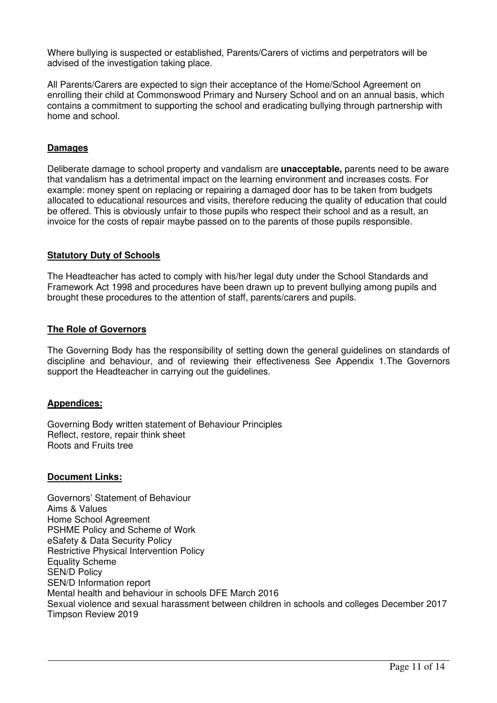Where bullying is suspected or established, Parents/Carers of victims and perpetrators will be advised of the investigation taking place.

All Parents/Carers are expected to sign their acceptance of the Home/School Agreement on enrolling their child at Commonswood Primary and Nursery School and on an annual basis, which contains a commitment to supporting the school and eradicating bullying through partnership with home and school.

# **Damages**

Deliberate damage to school property and vandalism are **unacceptable,** parents need to be aware that vandalism has a detrimental impact on the learning environment and increases costs. For example: money spent on replacing or repairing a damaged door has to be taken from budgets allocated to educational resources and visits, therefore reducing the quality of education that could be offered. This is obviously unfair to those pupils who respect their school and as a result, an invoice for the costs of repair maybe passed on to the parents of those pupils responsible.

#### **Statutory Duty of Schools**

The Headteacher has acted to comply with his/her legal duty under the School Standards and Framework Act 1998 and procedures have been drawn up to prevent bullying among pupils and brought these procedures to the attention of staff, parents/carers and pupils.

# **The Role of Governors**

The Governing Body has the responsibility of setting down the general guidelines on standards of discipline and behaviour, and of reviewing their effectiveness See Appendix 1.The Governors support the Headteacher in carrying out the guidelines.

# **Appendices:**

Governing Body written statement of Behaviour Principles Reflect, restore, repair think sheet Roots and Fruits tree

#### **Document Links:**

Governors' Statement of Behaviour Aims & Values Home School Agreement PSHME Policy and Scheme of Work eSafety & Data Security Policy Restrictive Physical Intervention Policy Equality Scheme SEN/D Policy SEN/D Information report Mental health and behaviour in schools DFE March 2016 Sexual violence and sexual harassment between children in schools and colleges December 2017 Timpson Review 2019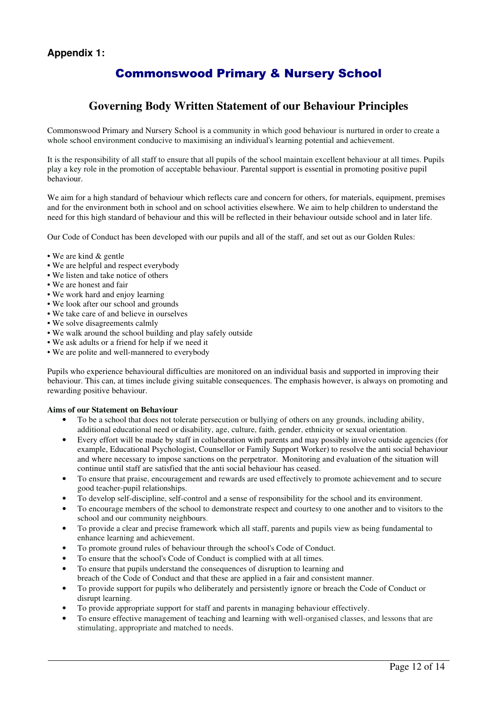# **Appendix 1:**

# Commonswood Primary & Nursery School

# **Governing Body Written Statement of our Behaviour Principles**

Commonswood Primary and Nursery School is a community in which good behaviour is nurtured in order to create a whole school environment conducive to maximising an individual's learning potential and achievement.

It is the responsibility of all staff to ensure that all pupils of the school maintain excellent behaviour at all times. Pupils play a key role in the promotion of acceptable behaviour. Parental support is essential in promoting positive pupil behaviour.

We aim for a high standard of behaviour which reflects care and concern for others, for materials, equipment, premises and for the environment both in school and on school activities elsewhere. We aim to help children to understand the need for this high standard of behaviour and this will be reflected in their behaviour outside school and in later life.

Our Code of Conduct has been developed with our pupils and all of the staff, and set out as our Golden Rules:

#### • We are kind & gentle

- We are helpful and respect everybody
- We listen and take notice of others
- We are honest and fair
- We work hard and enjoy learning
- We look after our school and grounds
- We take care of and believe in ourselves
- We solve disagreements calmly
- We walk around the school building and play safely outside
- We ask adults or a friend for help if we need it
- We are polite and well-mannered to everybody

Pupils who experience behavioural difficulties are monitored on an individual basis and supported in improving their behaviour. This can, at times include giving suitable consequences. The emphasis however, is always on promoting and rewarding positive behaviour.

#### **Aims of our Statement on Behaviour**

- To be a school that does not tolerate persecution or bullying of others on any grounds, including ability, additional educational need or disability, age, culture, faith, gender, ethnicity or sexual orientation.
- Every effort will be made by staff in collaboration with parents and may possibly involve outside agencies (for example, Educational Psychologist, Counsellor or Family Support Worker) to resolve the anti social behaviour and where necessary to impose sanctions on the perpetrator. Monitoring and evaluation of the situation will continue until staff are satisfied that the anti social behaviour has ceased.
- To ensure that praise, encouragement and rewards are used effectively to promote achievement and to secure good teacher-pupil relationships.
- To develop self-discipline, self-control and a sense of responsibility for the school and its environment.
- To encourage members of the school to demonstrate respect and courtesy to one another and to visitors to the school and our community neighbours.
- To provide a clear and precise framework which all staff, parents and pupils view as being fundamental to enhance learning and achievement.
- To promote ground rules of behaviour through the school's Code of Conduct.
- To ensure that the school's Code of Conduct is complied with at all times.
- To ensure that pupils understand the consequences of disruption to learning and breach of the Code of Conduct and that these are applied in a fair and consistent manner.
- To provide support for pupils who deliberately and persistently ignore or breach the Code of Conduct or disrupt learning.
- To provide appropriate support for staff and parents in managing behaviour effectively.
- To ensure effective management of teaching and learning with well-organised classes, and lessons that are stimulating, appropriate and matched to needs.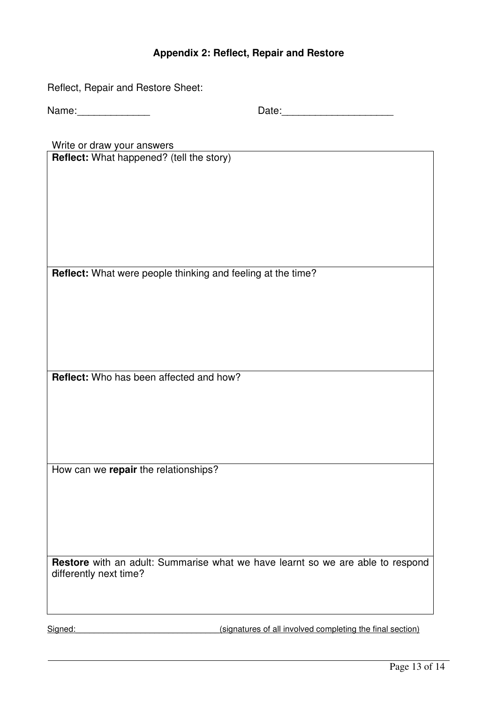# **Appendix 2: Reflect, Repair and Restore**

| Reflect, Repair and Restore Sheet:       |                                                                                |
|------------------------------------------|--------------------------------------------------------------------------------|
| Name: _______________                    |                                                                                |
| Write or draw your answers               |                                                                                |
| Reflect: What happened? (tell the story) |                                                                                |
|                                          |                                                                                |
|                                          |                                                                                |
|                                          |                                                                                |
|                                          |                                                                                |
|                                          |                                                                                |
|                                          | Reflect: What were people thinking and feeling at the time?                    |
|                                          |                                                                                |
|                                          |                                                                                |
|                                          |                                                                                |
|                                          |                                                                                |
| Reflect: Who has been affected and how?  |                                                                                |
|                                          |                                                                                |
|                                          |                                                                                |
|                                          |                                                                                |
|                                          |                                                                                |
| How can we repair the relationships?     |                                                                                |
|                                          |                                                                                |
|                                          |                                                                                |
|                                          |                                                                                |
| differently next time?                   | Restore with an adult: Summarise what we have learnt so we are able to respond |
| Signed:                                  | (signatures of all involved completing the final section)                      |